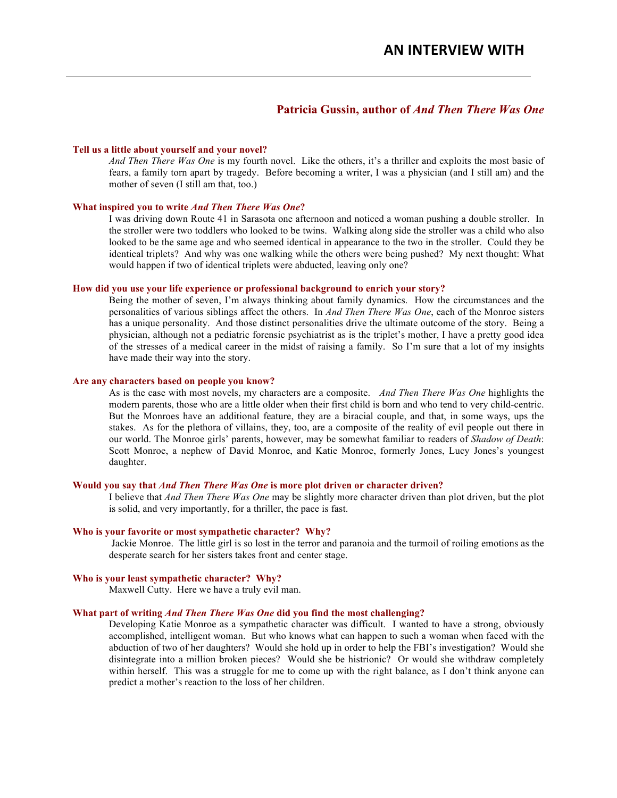# **Patricia Gussin, author of** *And Then There Was One*

### **Tell us a little about yourself and your novel?**

*And Then There Was One* is my fourth novel. Like the others, it's a thriller and exploits the most basic of fears, a family torn apart by tragedy. Before becoming a writer, I was a physician (and I still am) and the mother of seven (I still am that, too.)

#### **What inspired you to write** *And Then There Was One***?**

I was driving down Route 41 in Sarasota one afternoon and noticed a woman pushing a double stroller. In the stroller were two toddlers who looked to be twins. Walking along side the stroller was a child who also looked to be the same age and who seemed identical in appearance to the two in the stroller. Could they be identical triplets? And why was one walking while the others were being pushed? My next thought: What would happen if two of identical triplets were abducted, leaving only one?

## **How did you use your life experience or professional background to enrich your story?**

Being the mother of seven, I'm always thinking about family dynamics. How the circumstances and the personalities of various siblings affect the others. In *And Then There Was One*, each of the Monroe sisters has a unique personality. And those distinct personalities drive the ultimate outcome of the story. Being a physician, although not a pediatric forensic psychiatrist as is the triplet's mother, I have a pretty good idea of the stresses of a medical career in the midst of raising a family. So I'm sure that a lot of my insights have made their way into the story.

### **Are any characters based on people you know?**

As is the case with most novels, my characters are a composite. *And Then There Was One* highlights the modern parents, those who are a little older when their first child is born and who tend to very child-centric. But the Monroes have an additional feature, they are a biracial couple, and that, in some ways, ups the stakes. As for the plethora of villains, they, too, are a composite of the reality of evil people out there in our world. The Monroe girls' parents, however, may be somewhat familiar to readers of *Shadow of Death*: Scott Monroe, a nephew of David Monroe, and Katie Monroe, formerly Jones, Lucy Jones's youngest daughter.

#### **Would you say that** *And Then There Was One* **is more plot driven or character driven?**

I believe that *And Then There Was One* may be slightly more character driven than plot driven, but the plot is solid, and very importantly, for a thriller, the pace is fast.

### **Who is your favorite or most sympathetic character? Why?**

Jackie Monroe. The little girl is so lost in the terror and paranoia and the turmoil of roiling emotions as the desperate search for her sisters takes front and center stage.

## **Who is your least sympathetic character? Why?**

Maxwell Cutty. Here we have a truly evil man.

### **What part of writing** *And Then There Was One* **did you find the most challenging?**

Developing Katie Monroe as a sympathetic character was difficult. I wanted to have a strong, obviously accomplished, intelligent woman. But who knows what can happen to such a woman when faced with the abduction of two of her daughters? Would she hold up in order to help the FBI's investigation? Would she disintegrate into a million broken pieces? Would she be histrionic? Or would she withdraw completely within herself. This was a struggle for me to come up with the right balance, as I don't think anyone can predict a mother's reaction to the loss of her children.